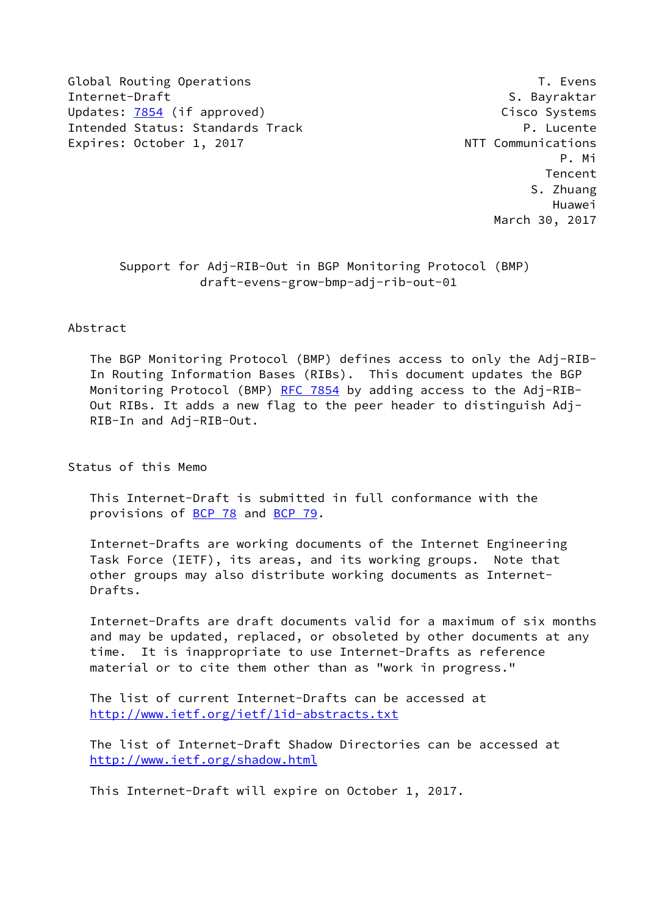Global Routing Operations T. Evens Internet-Draft S. Bayraktar Updates: [7854](https://datatracker.ietf.org/doc/pdf/rfc7854) (if approved) Cisco Systems Intended Status: Standards Track P. Lucente Expires: October 1, 2017 **NTT** Communications

 P. Mi **Tencent Contract Contract Contract Contract Contract Contract Contract Contract Contract Contract Contract Contract Contract Contract Contract Contract Contract Contract Contract Contract Contract Contract Contract Cont**  S. Zhuang Huawei March 30, 2017

 Support for Adj-RIB-Out in BGP Monitoring Protocol (BMP) draft-evens-grow-bmp-adj-rib-out-01

### Abstract

 The BGP Monitoring Protocol (BMP) defines access to only the Adj-RIB- In Routing Information Bases (RIBs). This document updates the BGP Monitoring Protocol (BMP) [RFC 7854](https://datatracker.ietf.org/doc/pdf/rfc7854) by adding access to the Adj-RIB- Out RIBs. It adds a new flag to the peer header to distinguish Adj- RIB-In and Adj-RIB-Out.

Status of this Memo

 This Internet-Draft is submitted in full conformance with the provisions of [BCP 78](https://datatracker.ietf.org/doc/pdf/bcp78) and [BCP 79](https://datatracker.ietf.org/doc/pdf/bcp79).

 Internet-Drafts are working documents of the Internet Engineering Task Force (IETF), its areas, and its working groups. Note that other groups may also distribute working documents as Internet- Drafts.

 Internet-Drafts are draft documents valid for a maximum of six months and may be updated, replaced, or obsoleted by other documents at any time. It is inappropriate to use Internet-Drafts as reference material or to cite them other than as "work in progress."

 The list of current Internet-Drafts can be accessed at <http://www.ietf.org/ietf/1id-abstracts.txt>

 The list of Internet-Draft Shadow Directories can be accessed at <http://www.ietf.org/shadow.html>

This Internet-Draft will expire on October 1, 2017.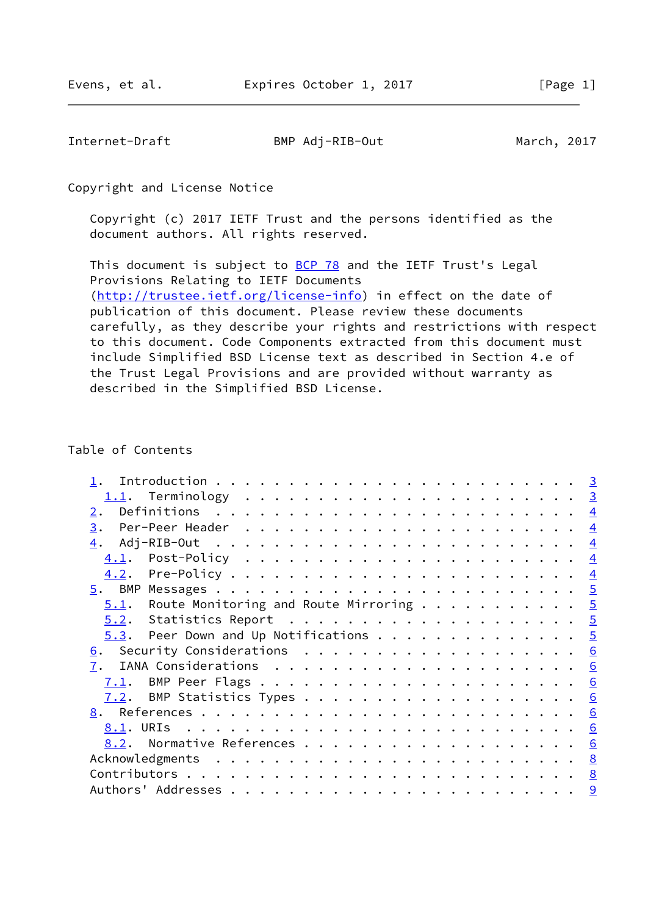Internet-Draft BMP Adj-RIB-Out March, 2017

Copyright and License Notice

 Copyright (c) 2017 IETF Trust and the persons identified as the document authors. All rights reserved.

This document is subject to **[BCP 78](https://datatracker.ietf.org/doc/pdf/bcp78)** and the IETF Trust's Legal Provisions Relating to IETF Documents [\(http://trustee.ietf.org/license-info](http://trustee.ietf.org/license-info)) in effect on the date of publication of this document. Please review these documents carefully, as they describe your rights and restrictions with respect to this document. Code Components extracted from this document must include Simplified BSD License text as described in Section 4.e of the Trust Legal Provisions and are provided without warranty as described in the Simplified BSD License.

#### Table of Contents

| 2.                                             |                |
|------------------------------------------------|----------------|
| 3.                                             | $\overline{4}$ |
|                                                | $\overline{4}$ |
|                                                | $\overline{4}$ |
|                                                |                |
|                                                |                |
| $5.1$ . Route Monitoring and Route Mirroring 5 |                |
|                                                |                |
| <u>5.3</u> . Peer Down and Up Notifications 5  |                |
| 6. Security Considerations 6                   |                |
| 7.                                             |                |
| 7.1.                                           |                |
| 7.2.                                           |                |
|                                                |                |
|                                                |                |
|                                                |                |
|                                                |                |
|                                                |                |
|                                                |                |
|                                                |                |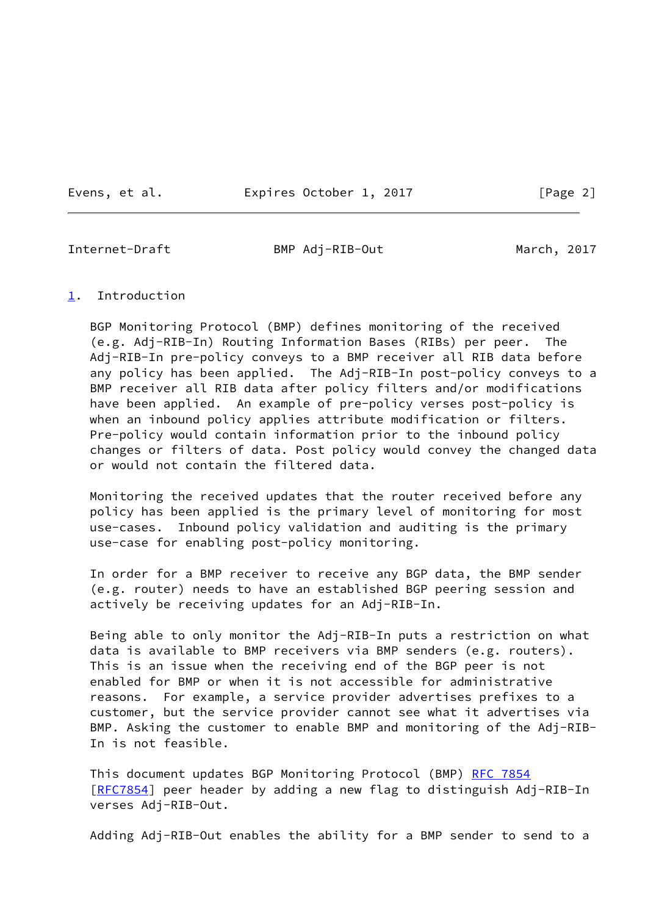Evens, et al. Expires October 1, 2017 [Page 2]

<span id="page-2-1"></span>

Internet-Draft BMP Adj-RIB-Out March, 2017

### <span id="page-2-0"></span>[1](#page-2-0). Introduction

 BGP Monitoring Protocol (BMP) defines monitoring of the received (e.g. Adj-RIB-In) Routing Information Bases (RIBs) per peer. The Adj-RIB-In pre-policy conveys to a BMP receiver all RIB data before any policy has been applied. The Adj-RIB-In post-policy conveys to a BMP receiver all RIB data after policy filters and/or modifications have been applied. An example of pre-policy verses post-policy is when an inbound policy applies attribute modification or filters. Pre-policy would contain information prior to the inbound policy changes or filters of data. Post policy would convey the changed data or would not contain the filtered data.

 Monitoring the received updates that the router received before any policy has been applied is the primary level of monitoring for most use-cases. Inbound policy validation and auditing is the primary use-case for enabling post-policy monitoring.

 In order for a BMP receiver to receive any BGP data, the BMP sender (e.g. router) needs to have an established BGP peering session and actively be receiving updates for an Adj-RIB-In.

 Being able to only monitor the Adj-RIB-In puts a restriction on what data is available to BMP receivers via BMP senders (e.g. routers). This is an issue when the receiving end of the BGP peer is not enabled for BMP or when it is not accessible for administrative reasons. For example, a service provider advertises prefixes to a customer, but the service provider cannot see what it advertises via BMP. Asking the customer to enable BMP and monitoring of the Adj-RIB- In is not feasible.

This document updates BGP Monitoring Protocol (BMP) [RFC 7854](https://datatracker.ietf.org/doc/pdf/rfc7854) [\[RFC7854](https://datatracker.ietf.org/doc/pdf/rfc7854)] peer header by adding a new flag to distinguish Adj-RIB-In verses Adj-RIB-Out.

Adding Adj-RIB-Out enables the ability for a BMP sender to send to a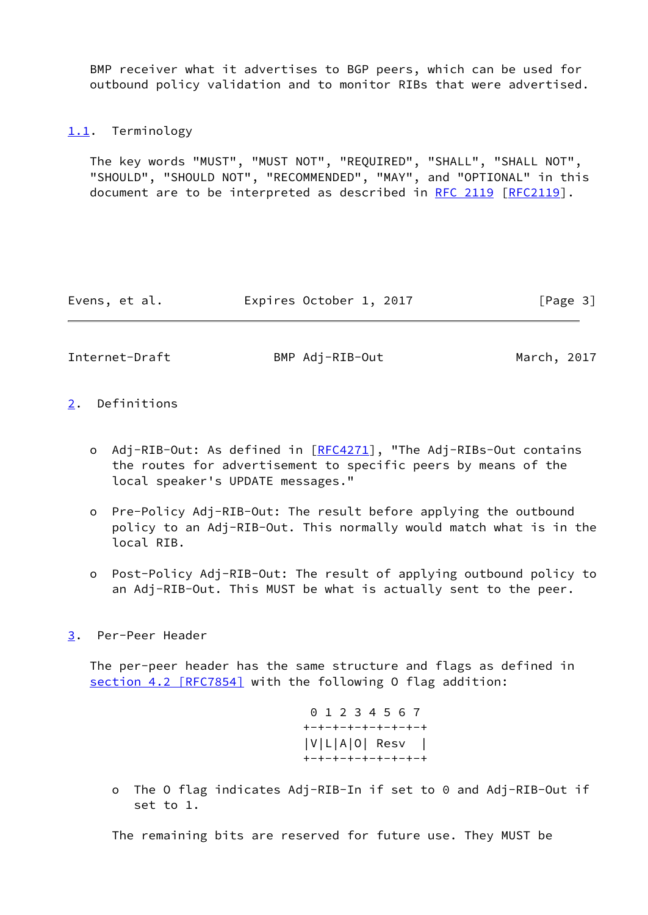BMP receiver what it advertises to BGP peers, which can be used for outbound policy validation and to monitor RIBs that were advertised.

# <span id="page-3-0"></span>[1.1](#page-3-0). Terminology

 The key words "MUST", "MUST NOT", "REQUIRED", "SHALL", "SHALL NOT", "SHOULD", "SHOULD NOT", "RECOMMENDED", "MAY", and "OPTIONAL" in this document are to be interpreted as described in [RFC 2119 \[RFC2119](https://datatracker.ietf.org/doc/pdf/rfc2119)].

Evens, et al. **Expires October 1, 2017** [Page 3]

<span id="page-3-2"></span>Internet-Draft BMP Adj-RIB-Out March, 2017

- <span id="page-3-1"></span>[2](#page-3-1). Definitions
	- o Adj-RIB-Out: As defined in [[RFC4271](https://datatracker.ietf.org/doc/pdf/rfc4271)], "The Adj-RIBs-Out contains the routes for advertisement to specific peers by means of the local speaker's UPDATE messages."
	- o Pre-Policy Adj-RIB-Out: The result before applying the outbound policy to an Adj-RIB-Out. This normally would match what is in the local RIB.
	- o Post-Policy Adj-RIB-Out: The result of applying outbound policy to an Adj-RIB-Out. This MUST be what is actually sent to the peer.
- <span id="page-3-3"></span>[3](#page-3-3). Per-Peer Header

 The per-peer header has the same structure and flags as defined in section [4.2 \[RFC7854\]](https://datatracker.ietf.org/doc/pdf/rfc7854#section-4.2) with the following O flag addition:

> 0 1 2 3 4 5 6 7 +-+-+-+-+-+-+-+-+ |V|L|A|O| Resv | +-+-+-+-+-+-+-+-+

 o The O flag indicates Adj-RIB-In if set to 0 and Adj-RIB-Out if set to 1.

The remaining bits are reserved for future use. They MUST be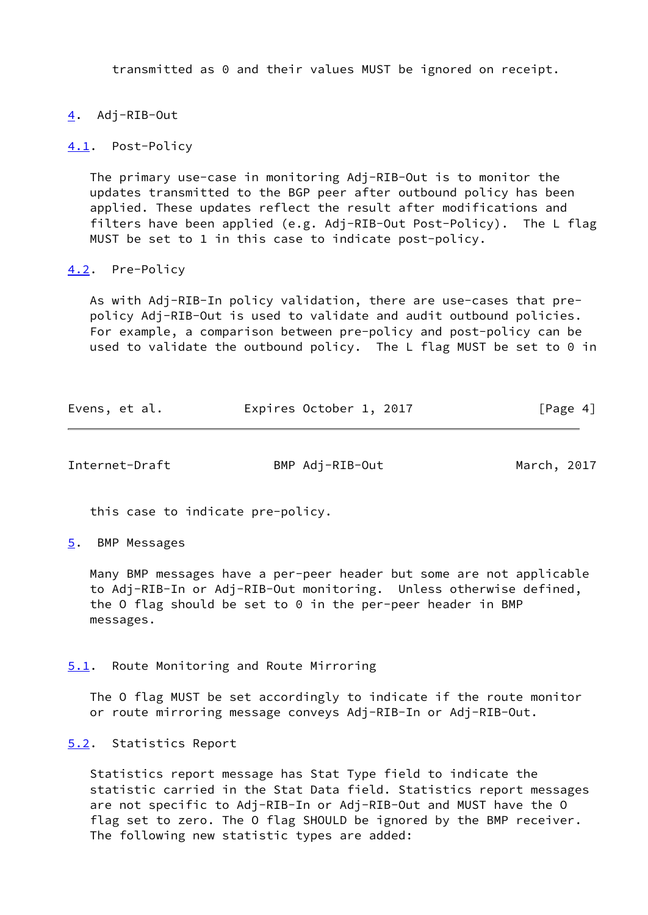transmitted as 0 and their values MUST be ignored on receipt.

# <span id="page-4-0"></span>[4](#page-4-0). Adj-RIB-Out

<span id="page-4-1"></span>[4.1](#page-4-1). Post-Policy

 The primary use-case in monitoring Adj-RIB-Out is to monitor the updates transmitted to the BGP peer after outbound policy has been applied. These updates reflect the result after modifications and filters have been applied (e.g. Adj-RIB-Out Post-Policy). The L flag MUST be set to 1 in this case to indicate post-policy.

### <span id="page-4-2"></span>[4.2](#page-4-2). Pre-Policy

 As with Adj-RIB-In policy validation, there are use-cases that pre policy Adj-RIB-Out is used to validate and audit outbound policies. For example, a comparison between pre-policy and post-policy can be used to validate the outbound policy. The L flag MUST be set to 0 in

| Evens, et al. | Expires October 1, 2017 | [Page 4] |
|---------------|-------------------------|----------|
|---------------|-------------------------|----------|

<span id="page-4-4"></span>Internet-Draft BMP Adj-RIB-Out March, 2017

this case to indicate pre-policy.

<span id="page-4-3"></span>[5](#page-4-3). BMP Messages

 Many BMP messages have a per-peer header but some are not applicable to Adj-RIB-In or Adj-RIB-Out monitoring. Unless otherwise defined, the O flag should be set to  $0$  in the per-peer header in BMP messages.

#### <span id="page-4-5"></span>[5.1](#page-4-5). Route Monitoring and Route Mirroring

 The O flag MUST be set accordingly to indicate if the route monitor or route mirroring message conveys Adj-RIB-In or Adj-RIB-Out.

#### <span id="page-4-6"></span>[5.2](#page-4-6). Statistics Report

 Statistics report message has Stat Type field to indicate the statistic carried in the Stat Data field. Statistics report messages are not specific to Adj-RIB-In or Adj-RIB-Out and MUST have the O flag set to zero. The O flag SHOULD be ignored by the BMP receiver. The following new statistic types are added: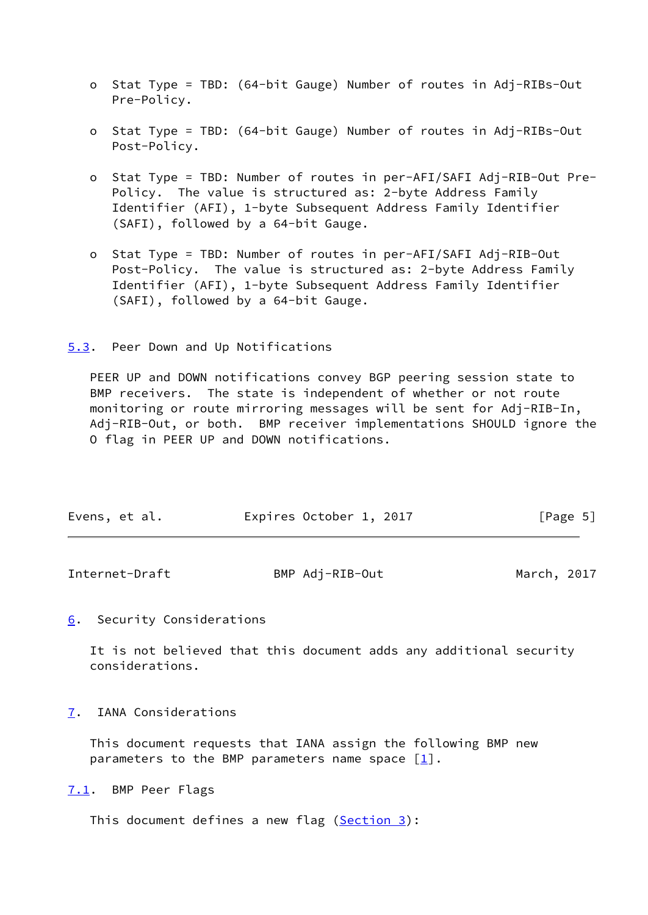- o Stat Type = TBD: (64-bit Gauge) Number of routes in Adj-RIBs-Out Pre-Policy.
- o Stat Type = TBD: (64-bit Gauge) Number of routes in Adj-RIBs-Out Post-Policy.
- o Stat Type = TBD: Number of routes in per-AFI/SAFI Adj-RIB-Out Pre- Policy. The value is structured as: 2-byte Address Family Identifier (AFI), 1-byte Subsequent Address Family Identifier (SAFI), followed by a 64-bit Gauge.
- o Stat Type = TBD: Number of routes in per-AFI/SAFI Adj-RIB-Out Post-Policy. The value is structured as: 2-byte Address Family Identifier (AFI), 1-byte Subsequent Address Family Identifier (SAFI), followed by a 64-bit Gauge.

<span id="page-5-0"></span>[5.3](#page-5-0). Peer Down and Up Notifications

 PEER UP and DOWN notifications convey BGP peering session state to BMP receivers. The state is independent of whether or not route monitoring or route mirroring messages will be sent for Adj-RIB-In, Adj-RIB-Out, or both. BMP receiver implementations SHOULD ignore the O flag in PEER UP and DOWN notifications.

|  |  | Evens, et al. | Expires October 1, 2017 | [Page 5] |
|--|--|---------------|-------------------------|----------|
|--|--|---------------|-------------------------|----------|

<span id="page-5-2"></span>

| Internet-Draft | BMP Adj-RIB-Out | March, 2017 |  |
|----------------|-----------------|-------------|--|
|                |                 |             |  |

<span id="page-5-1"></span>[6](#page-5-1). Security Considerations

 It is not believed that this document adds any additional security considerations.

<span id="page-5-3"></span>[7](#page-5-3). IANA Considerations

 This document requests that IANA assign the following BMP new parameters to the BMP parameters name space  $\lceil \frac{1}{2} \rceil$ .

<span id="page-5-4"></span>[7.1](#page-5-4). BMP Peer Flags

This document defines a new flag [\(Section 3\)](#page-3-3):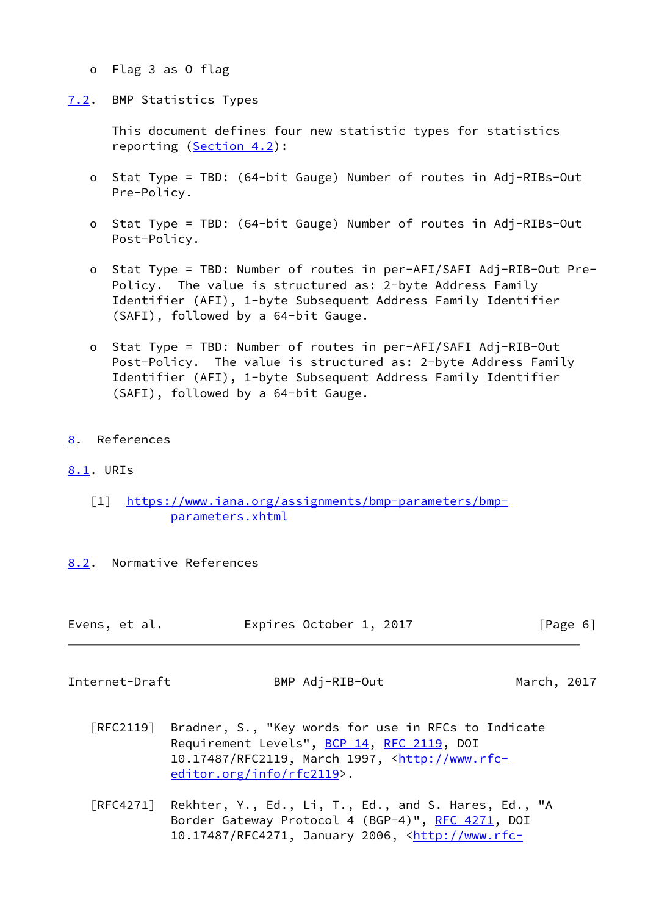- o Flag 3 as O flag
- <span id="page-6-0"></span>[7.2](#page-6-0). BMP Statistics Types

 This document defines four new statistic types for statistics reporting [\(Section 4.2](#page-4-2)):

- o Stat Type = TBD: (64-bit Gauge) Number of routes in Adj-RIBs-Out Pre-Policy.
- o Stat Type = TBD: (64-bit Gauge) Number of routes in Adj-RIBs-Out Post-Policy.
- o Stat Type = TBD: Number of routes in per-AFI/SAFI Adj-RIB-Out Pre- Policy. The value is structured as: 2-byte Address Family Identifier (AFI), 1-byte Subsequent Address Family Identifier (SAFI), followed by a 64-bit Gauge.
- o Stat Type = TBD: Number of routes in per-AFI/SAFI Adj-RIB-Out Post-Policy. The value is structured as: 2-byte Address Family Identifier (AFI), 1-byte Subsequent Address Family Identifier (SAFI), followed by a 64-bit Gauge.
- <span id="page-6-1"></span>[8](#page-6-1). References

# <span id="page-6-2"></span>[8.1](#page-6-2). URIs

- <span id="page-6-4"></span> [1] [https://www.iana.org/assignments/bmp-parameters/bmp](https://www.iana.org/assignments/bmp-parameters/bmp-parameters.xhtml) [parameters.xhtml](https://www.iana.org/assignments/bmp-parameters/bmp-parameters.xhtml)
- <span id="page-6-3"></span>[8.2](#page-6-3). Normative References

|  | Evens, et al. |  | Expires October 1, 2017 |  |  | [Page 6] |  |  |
|--|---------------|--|-------------------------|--|--|----------|--|--|
|--|---------------|--|-------------------------|--|--|----------|--|--|

Internet-Draft BMP Adj-RIB-Out March, 2017

- [RFC2119] Bradner, S., "Key words for use in RFCs to Indicate Requirement Levels", [BCP 14](https://datatracker.ietf.org/doc/pdf/bcp14), [RFC 2119](https://datatracker.ietf.org/doc/pdf/rfc2119), DOI 10.17487/RFC2119, March 1997, [<http://www.rfc](http://www.rfc-editor.org/info/rfc2119) [editor.org/info/rfc2119](http://www.rfc-editor.org/info/rfc2119)>.
- [RFC4271] Rekhter, Y., Ed., Li, T., Ed., and S. Hares, Ed., "A Border Gateway Protocol 4 (BGP-4)", [RFC 4271,](https://datatracker.ietf.org/doc/pdf/rfc4271) DOI 10.17487/RFC4271, January 2006, <[http://www.rfc-](http://www.rfc-editor.org/info/rfc4271)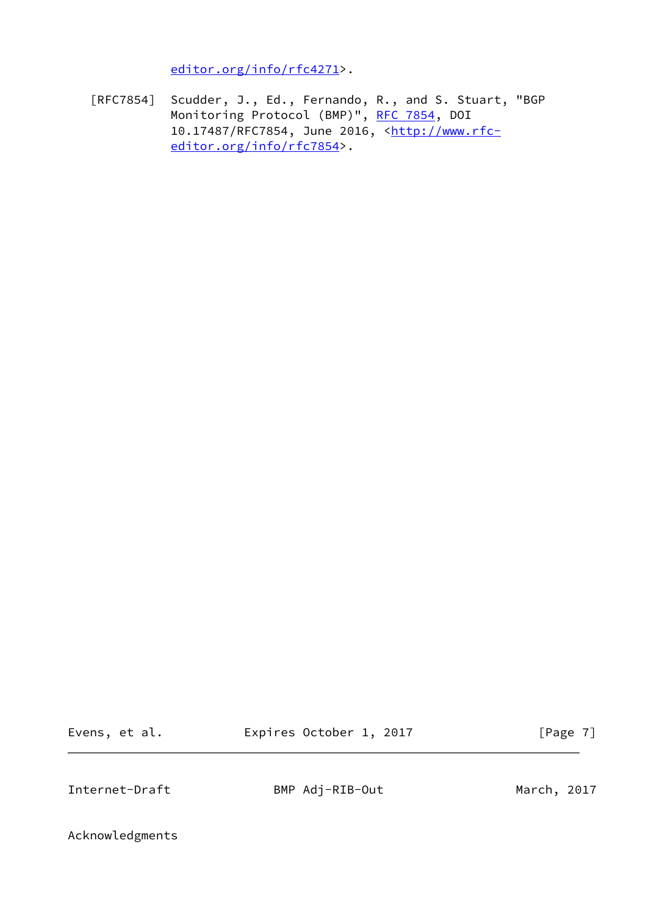[editor.org/info/rfc4271](http://www.rfc-editor.org/info/rfc4271)>.

 [RFC7854] Scudder, J., Ed., Fernando, R., and S. Stuart, "BGP Monitoring Protocol (BMP)", [RFC 7854,](https://datatracker.ietf.org/doc/pdf/rfc7854) DOI 10.17487/RFC7854, June 2016, [<http://www.rfc](http://www.rfc-editor.org/info/rfc7854) [editor.org/info/rfc7854](http://www.rfc-editor.org/info/rfc7854)>.

Evens, et al. Expires October 1, 2017 [Page 7]

<span id="page-7-0"></span>Internet-Draft BMP Adj-RIB-Out March, 2017

Acknowledgments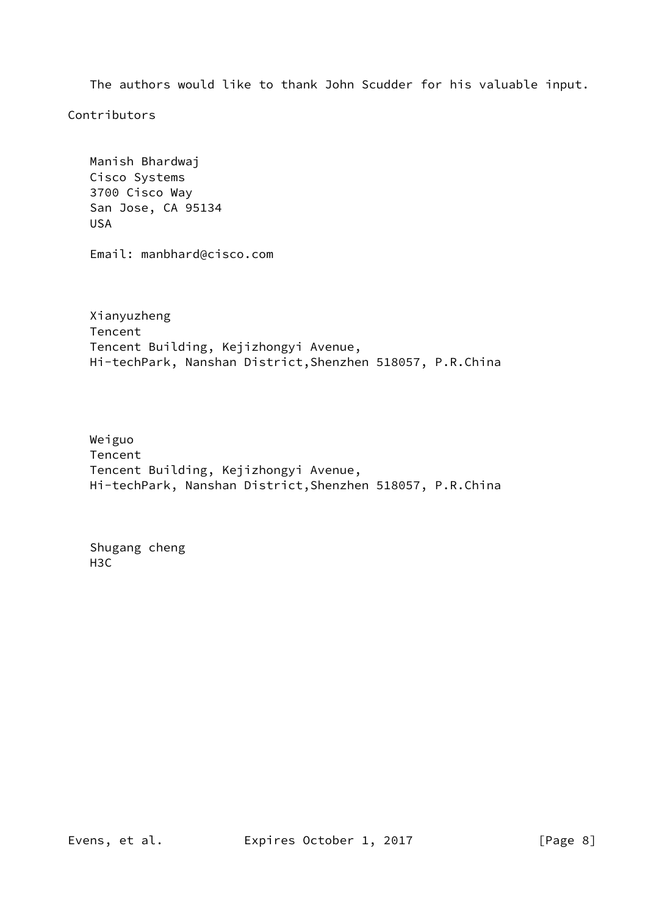The authors would like to thank John Scudder for his valuable input.

Contributors

 Manish Bhardwaj Cisco Systems 3700 Cisco Way San Jose, CA 95134 USA

Email: manbhard@cisco.com

 Xianyuzheng Tencent Tencent Building, Kejizhongyi Avenue, Hi-techPark, Nanshan District,Shenzhen 518057, P.R.China

 Weiguo Tencent Tencent Building, Kejizhongyi Avenue, Hi-techPark, Nanshan District,Shenzhen 518057, P.R.China

 Shugang cheng H3C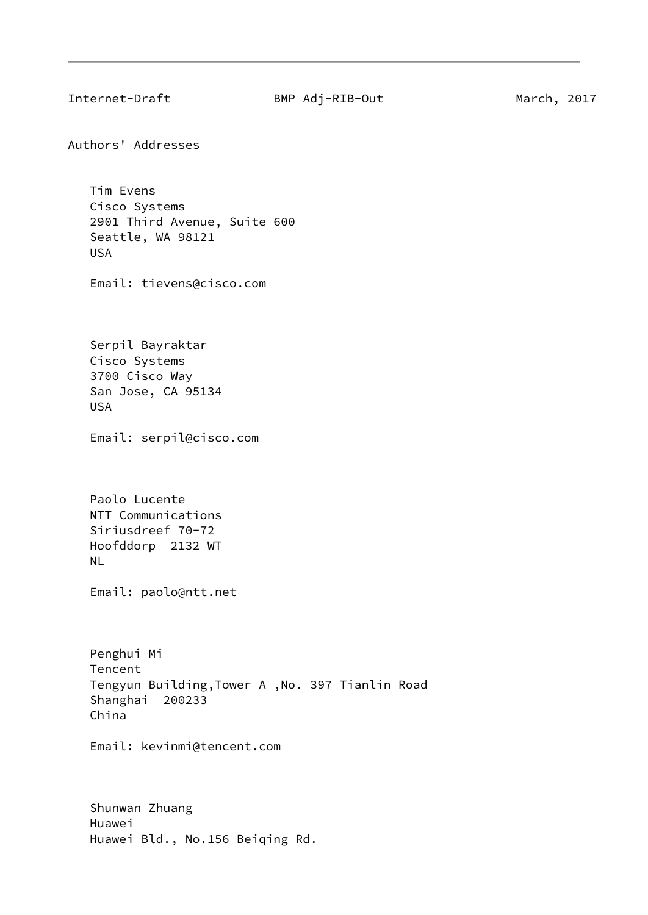<span id="page-9-0"></span>

Authors' Addresses

 Tim Evens Cisco Systems 2901 Third Avenue, Suite 600 Seattle, WA 98121 USA

Email: tievens@cisco.com

 Serpil Bayraktar Cisco Systems 3700 Cisco Way San Jose, CA 95134 USA

Email: serpil@cisco.com

 Paolo Lucente NTT Communications Siriusdreef 70-72 Hoofddorp 2132 WT NL

Email: paolo@ntt.net

 Penghui Mi Tencent Tengyun Building,Tower A ,No. 397 Tianlin Road Shanghai 200233 China

Email: kevinmi@tencent.com

 Shunwan Zhuang Huawei Huawei Bld., No.156 Beiqing Rd.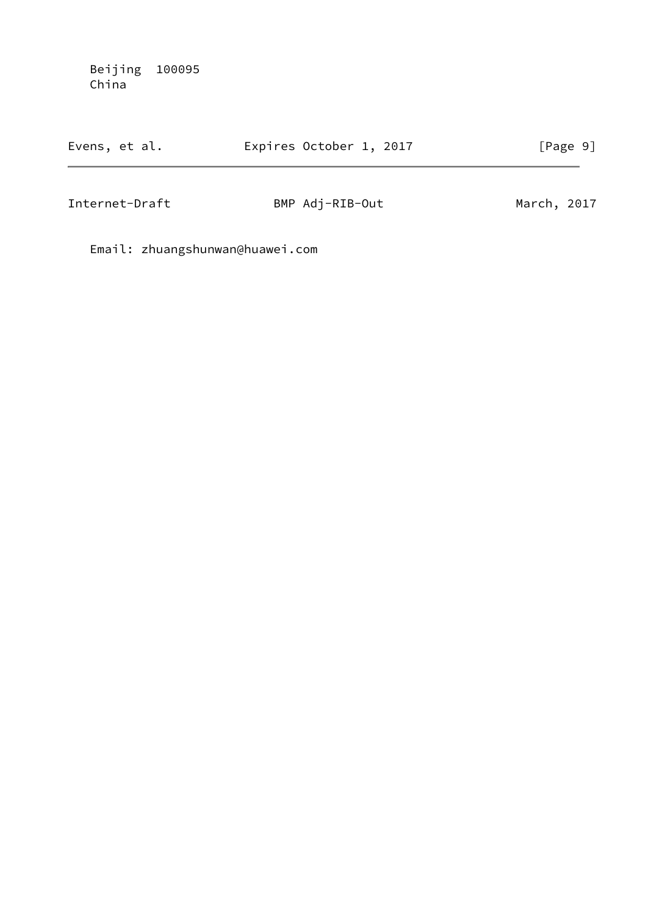Beijing 100095 China

| Evens, et al. | Expires October 1, 2017 | [Page 9] |
|---------------|-------------------------|----------|
|               |                         |          |

Internet-Draft BMP Adj-RIB-Out March, 2017

Email: zhuangshunwan@huawei.com